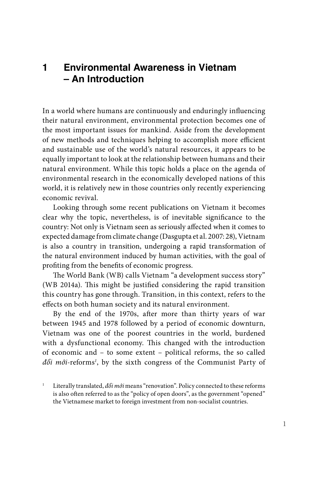## **1 Environmental Awareness in Vietnam – An Introduction**

In a world where humans are continuously and enduringly influencing their natural environment, environmental protection becomes one of the most important issues for mankind. Aside from the development of new methods and techniques helping to accomplish more efficient and sustainable use of the world's natural resources, it appears to be equally important to look at the relationship between humans and their natural environment. While this topic holds a place on the agenda of environmental research in the economically developed nations of this world, it is relatively new in those countries only recently experiencing economic revival.

Looking through some recent publications on Vietnam it becomes clear why the topic, nevertheless, is of inevitable significance to the country: Not only is Vietnam seen as seriously affected when it comes to expected damage from climate change (Dasgupta et al. 2007: 28), Vietnam is also a country in transition, undergoing a rapid transformation of the natural environment induced by human activities, with the goal of profiting from the benefits of economic progress.

The World Bank (WB) calls Vietnam "a development success story" (WB 2014a). This might be justified considering the rapid transition this country has gone through. Transition, in this context, refers to the effects on both human society and its natural environment.

By the end of the 1970s, after more than thirty years of war between 1945 and 1978 followed by a period of economic downturn, Vietnam was one of the poorest countries in the world, burdened with a dysfunctional economy. This changed with the introduction of economic and – to some extent – political reforms, the so called *đổi mới*-reforms*<sup>1</sup>* , by the sixth congress of the Communist Party of

<sup>1</sup> Literally translated, *đổi mới* means "renovation". Policy connected to these reforms is also often referred to as the "policy of open doors", as the government "opened" the Vietnamese market to foreign investment from non-socialist countries.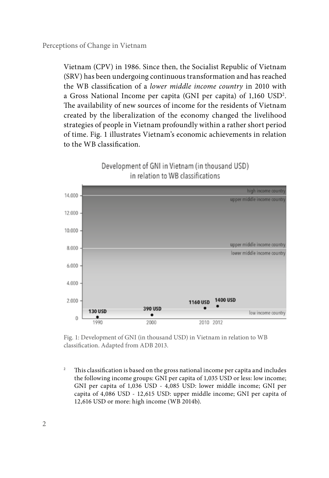Vietnam (CPV) in 1986. Since then, the Socialist Republic of Vietnam (SRV) has been undergoing continuous transformation and has reached the WB classification of a *lower middle income country* in 2010 with a Gross National Income per capita (GNI per capita) of 1,160 USD2 . The availability of new sources of income for the residents of Vietnam created by the liberalization of the economy changed the livelihood strategies of people in Vietnam profoundly within a rather short period of time. Fig. 1 illustrates Vietnam's economic achievements in relation to the WB classification.



Development of GNI in Vietnam (in thousand USD)

Fig. 1: Development of GNI (in thousand USD) in Vietnam in relation to WB classification. Adapted from ADB 2013.

<sup>2</sup> This classification is based on the gross national income per capita and includes the following income groups: GNI per capita of 1,035 USD or less: low income; GNI per capita of 1,036 USD - 4,085 USD: lower middle income; GNI per capita of 4,086 USD - 12,615 USD: upper middle income; GNI per capita of 12,616 USD or more: high income (WB 2014b).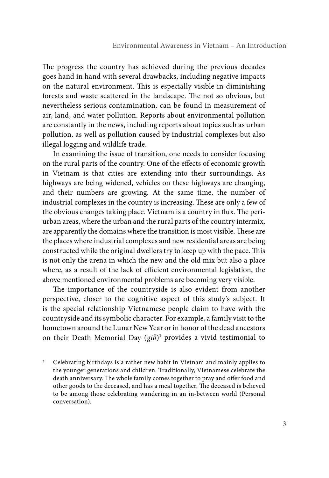The progress the country has achieved during the previous decades goes hand in hand with several drawbacks, including negative impacts on the natural environment. This is especially visible in diminishing forests and waste scattered in the landscape. The not so obvious, but nevertheless serious contamination, can be found in measurement of air, land, and water pollution. Reports about environmental pollution are constantly in the news, including reports about topics such as urban pollution, as well as pollution caused by industrial complexes but also illegal logging and wildlife trade.

In examining the issue of transition, one needs to consider focusing on the rural parts of the country. One of the effects of economic growth in Vietnam is that cities are extending into their surroundings. As highways are being widened, vehicles on these highways are changing, and their numbers are growing. At the same time, the number of industrial complexes in the country is increasing. These are only a few of the obvious changes taking place. Vietnam is a country in flux. The periurban areas, where the urban and the rural parts of the country intermix, are apparently the domains where the transition is most visible. These are the places where industrial complexes and new residential areas are being constructed while the original dwellers try to keep up with the pace. This is not only the arena in which the new and the old mix but also a place where, as a result of the lack of efficient environmental legislation, the above mentioned environmental problems are becoming very visible.

The importance of the countryside is also evident from another perspective, closer to the cognitive aspect of this study's subject. It is the special relationship Vietnamese people claim to have with the countryside and its symbolic character. For example, a family visit to the hometown around the Lunar New Year or in honor of the dead ancestors on their Death Memorial Day (*giỗ*) 3 provides a vivid testimonial to

<sup>&</sup>lt;sup>3</sup> Celebrating birthdays is a rather new habit in Vietnam and mainly applies to the younger generations and children. Traditionally, Vietnamese celebrate the death anniversary. The whole family comes together to pray and offer food and other goods to the deceased, and has a meal together. The deceased is believed to be among those celebrating wandering in an in-between world (Personal conversation).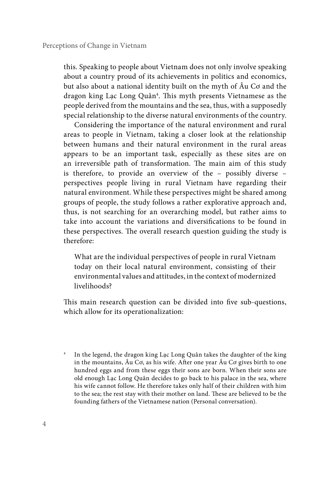this. Speaking to people about Vietnam does not only involve speaking about a country proud of its achievements in politics and economics, but also about a national identity built on the myth of Âu Cơ and the dragon king Lạc Long Quân4 . This myth presents Vietnamese as the people derived from the mountains and the sea, thus, with a supposedly special relationship to the diverse natural environments of the country.

Considering the importance of the natural environment and rural areas to people in Vietnam, taking a closer look at the relationship between humans and their natural environment in the rural areas appears to be an important task, especially as these sites are on an irreversible path of transformation. The main aim of this study is therefore, to provide an overview of the – possibly diverse – perspectives people living in rural Vietnam have regarding their natural environment. While these perspectives might be shared among groups of people, the study follows a rather explorative approach and, thus, is not searching for an overarching model, but rather aims to take into account the variations and diversifications to be found in these perspectives. The overall research question guiding the study is therefore:

What are the individual perspectives of people in rural Vietnam today on their local natural environment, consisting of their environmental values and attitudes, in the context of modernized livelihoods?

This main research question can be divided into five sub-questions, which allow for its operationalization:

In the legend, the dragon king Lạc Long Quân takes the daughter of the king in the mountains, Âu Cơ, as his wife. After one year Âu Cơ gives birth to one hundred eggs and from these eggs their sons are born. When their sons are old enough Lạc Long Quân decides to go back to his palace in the sea, where his wife cannot follow. He therefore takes only half of their children with him to the sea; the rest stay with their mother on land. These are believed to be the founding fathers of the Vietnamese nation (Personal conversation).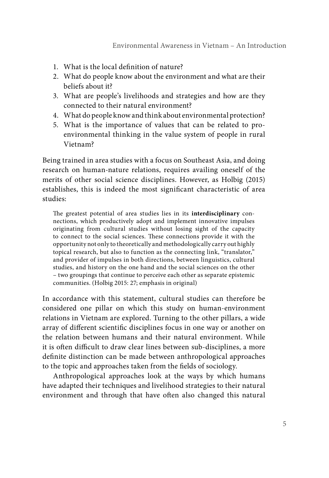- 1. What is the local definition of nature?
- 2. What do people know about the environment and what are their beliefs about it?
- 3. What are people's livelihoods and strategies and how are they connected to their natural environment?
- 4. What do people know and think about environmental protection?
- 5. What is the importance of values that can be related to proenvironmental thinking in the value system of people in rural Vietnam?

Being trained in area studies with a focus on Southeast Asia, and doing research on human-nature relations, requires availing oneself of the merits of other social science disciplines. However, as Holbig (2015) establishes, this is indeed the most significant characteristic of area studies:

The greatest potential of area studies lies in its **interdisciplinary** connections, which productively adopt and implement innovative impulses originating from cultural studies without losing sight of the capacity to connect to the social sciences. These connections provide it with the opportunity not only to theoretically and methodologically carry out highly topical research, but also to function as the connecting link, "translator," and provider of impulses in both directions, between linguistics, cultural studies, and history on the one hand and the social sciences on the other – two groupings that continue to perceive each other as separate epistemic communities. (Holbig 2015: 27; emphasis in original)

In accordance with this statement, cultural studies can therefore be considered one pillar on which this study on human-environment relations in Vietnam are explored. Turning to the other pillars, a wide array of different scientific disciplines focus in one way or another on the relation between humans and their natural environment. While it is often difficult to draw clear lines between sub-disciplines, a more definite distinction can be made between anthropological approaches to the topic and approaches taken from the fields of sociology.

Anthropological approaches look at the ways by which humans have adapted their techniques and livelihood strategies to their natural environment and through that have often also changed this natural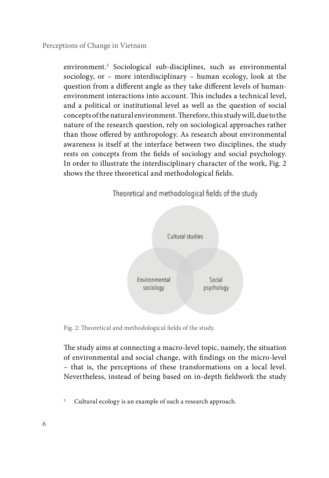environment.5 Sociological sub-disciplines, such as environmental sociology, or – more interdisciplinary – human ecology, look at the question from a different angle as they take different levels of humanenvironment interactions into account. This includes a technical level, and a political or institutional level as well as the question of social concepts of the natural environment. Therefore, this study will, due to the nature of the research question, rely on sociological approaches rather than those offered by anthropology. As research about environmental awareness is itself at the interface between two disciplines, the study rests on concepts from the fields of sociology and social psychology. In order to illustrate the interdisciplinary character of the work, Fig. 2 shows the three theoretical and methodological fields.



Fig. 2: Theoretical and methodological fields of the study.

The study aims at connecting a macro-level topic, namely, the situation of environmental and social change, with findings on the micro-level – that is, the perceptions of these transformations on a local level. Nevertheless, instead of being based on in-depth fieldwork the study

<sup>5</sup> Cultural ecology is an example of such a research approach.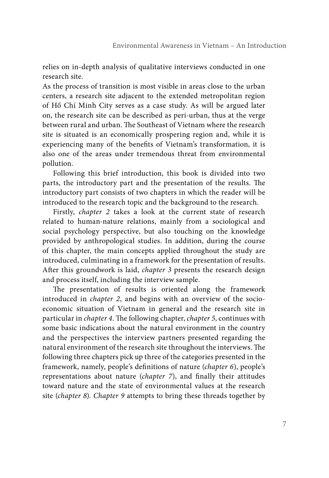relies on in-depth analysis of qualitative interviews conducted in one research site.

As the process of transition is most visible in areas close to the urban centers, a research site adjacent to the extended metropolitan region of Hồ Chí Minh City serves as a case study. As will be argued later on, the research site can be described as peri-urban, thus at the verge between rural and urban. The Southeast of Vietnam where the research site is situated is an economically prospering region and, while it is experiencing many of the benefits of Vietnam's transformation, it is also one of the areas under tremendous threat from environmental pollution.

Following this brief introduction, this book is divided into two parts, the introductory part and the presentation of the results. The introductory part consists of two chapters in which the reader will be introduced to the research topic and the background to the research.

Firstly, *chapter 2* takes a look at the current state of research related to human-nature relations, mainly from a sociological and social psychology perspective, but also touching on the knowledge provided by anthropological studies. In addition, during the course of this chapter, the main concepts applied throughout the study are introduced, culminating in a framework for the presentation of results. After this groundwork is laid, *chapter 3* presents the research design and process itself, including the interview sample.

The presentation of results is oriented along the framework introduced in *chapter 2*, and begins with an overview of the socioeconomic situation of Vietnam in general and the research site in particular in *chapter 4*. The following chapter, *chapter 5*, continues with some basic indications about the natural environment in the country and the perspectives the interview partners presented regarding the natural environment of the research site throughout the interviews. The following three chapters pick up three of the categories presented in the framework, namely, people's definitions of nature (*chapter 6*), people's representations about nature (*chapter 7*), and finally their attitudes toward nature and the state of environmental values at the research site (*chapter 8*). *Chapter 9* attempts to bring these threads together by